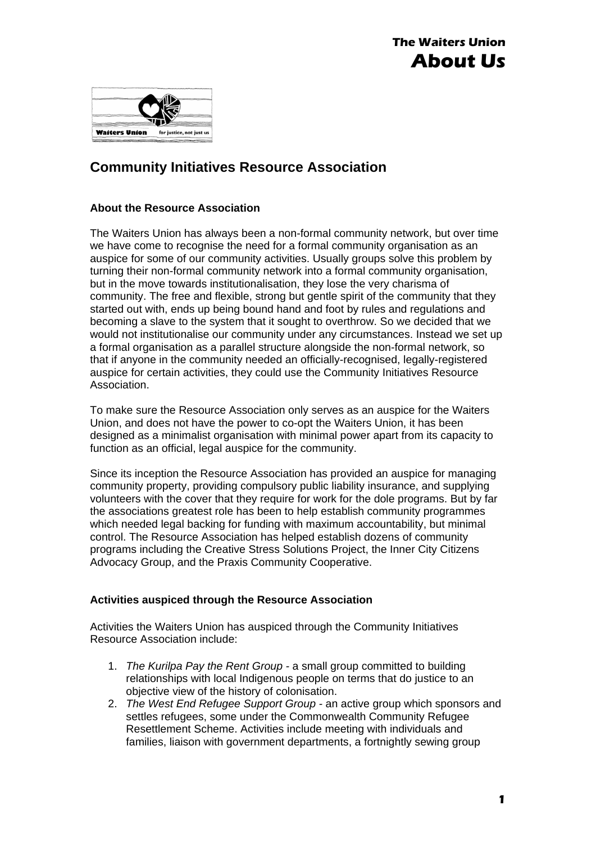



## **Community Initiatives Resource Association**

## **About the Resource Association**

The Waiters Union has always been a non-formal community network, but over time we have come to recognise the need for a formal community organisation as an auspice for some of our community activities. Usually groups solve this problem by turning their non-formal community network into a formal community organisation, but in the move towards institutionalisation, they lose the very charisma of community. The free and flexible, strong but gentle spirit of the community that they started out with, ends up being bound hand and foot by rules and regulations and becoming a slave to the system that it sought to overthrow. So we decided that we would not institutionalise our community under any circumstances. Instead we set up a formal organisation as a parallel structure alongside the non-formal network, so that if anyone in the community needed an officially-recognised, legally-registered auspice for certain activities, they could use the Community Initiatives Resource Association.

To make sure the Resource Association only serves as an auspice for the Waiters Union, and does not have the power to co-opt the Waiters Union, it has been designed as a minimalist organisation with minimal power apart from its capacity to function as an official, legal auspice for the community.

Since its inception the Resource Association has provided an auspice for managing community property, providing compulsory public liability insurance, and supplying volunteers with the cover that they require for work for the dole programs. But by far the associations greatest role has been to help establish community programmes which needed legal backing for funding with maximum accountability, but minimal control. The Resource Association has helped establish dozens of community programs including the Creative Stress Solutions Project, the Inner City Citizens Advocacy Group, and the Praxis Community Cooperative.

## **Activities auspiced through the Resource Association**

Activities the Waiters Union has auspiced through the Community Initiatives Resource Association include:

- 1. *The Kurilpa Pay the Rent Group* a small group committed to building relationships with local Indigenous people on terms that do justice to an objective view of the history of colonisation.
- 2. *The West End Refugee Support Group* an active group which sponsors and settles refugees, some under the Commonwealth Community Refugee Resettlement Scheme. Activities include meeting with individuals and families, liaison with government departments, a fortnightly sewing group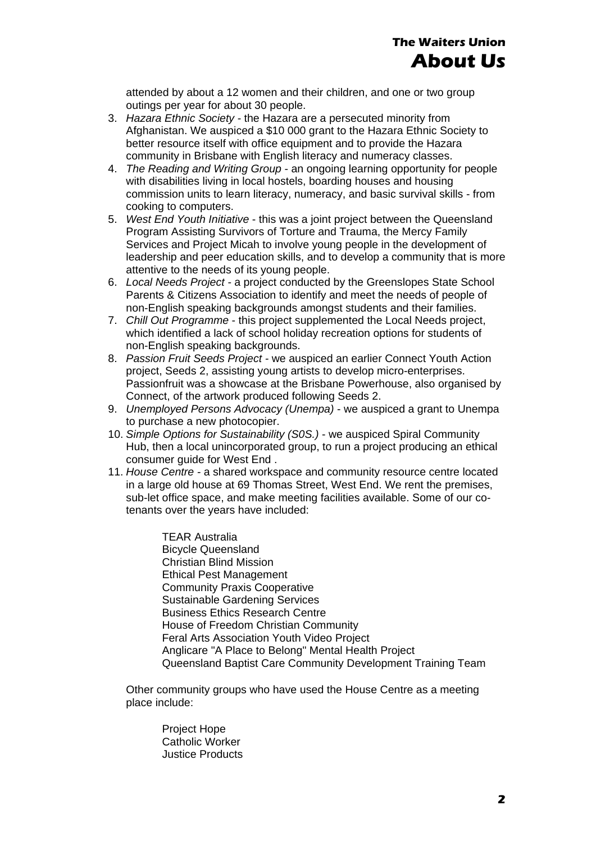attended by about a 12 women and their children, and one or two group outings per year for about 30 people.

- 3. *Hazara Ethnic Society* the Hazara are a persecuted minority from Afghanistan. We auspiced a \$10 000 grant to the Hazara Ethnic Society to better resource itself with office equipment and to provide the Hazara community in Brisbane with English literacy and numeracy classes.
- 4. *The Reading and Writing Group*  an ongoing learning opportunity for people with disabilities living in local hostels, boarding houses and housing commission units to learn literacy, numeracy, and basic survival skills - from cooking to computers.
- 5. *West End Youth Initiative*  this was a joint project between the Queensland Program Assisting Survivors of Torture and Trauma, the Mercy Family Services and Project Micah to involve young people in the development of leadership and peer education skills, and to develop a community that is more attentive to the needs of its young people.
- 6. *Local Needs Project* a project conducted by the Greenslopes State School Parents & Citizens Association to identify and meet the needs of people of non-English speaking backgrounds amongst students and their families.
- 7. *Chill Out Programme*  this project supplemented the Local Needs project, which identified a lack of school holiday recreation options for students of non-English speaking backgrounds.
- 8. *Passion Fruit Seeds Project* we auspiced an earlier Connect Youth Action project, Seeds 2, assisting young artists to develop micro-enterprises. Passionfruit was a showcase at the Brisbane Powerhouse, also organised by Connect, of the artwork produced following Seeds 2.
- 9. *Unemployed Persons Advocacy (Unempa)*  we auspiced a grant to Unempa to purchase a new photocopier.
- 10. *Simple Options for Sustainability (S0S.)*  we auspiced Spiral Community Hub, then a local unincorporated group, to run a project producing an ethical consumer guide for West End .
- 11. *House Centre* a shared workspace and community resource centre located in a large old house at 69 Thomas Street, West End. We rent the premises, sub-let office space, and make meeting facilities available. Some of our cotenants over the years have included:

TEAR Australia Bicycle Queensland Christian Blind Mission Ethical Pest Management Community Praxis Cooperative Sustainable Gardening Services Business Ethics Research Centre House of Freedom Christian Community Feral Arts Association Youth Video Project Anglicare "A Place to Belong" Mental Health Project Queensland Baptist Care Community Development Training Team

Other community groups who have used the House Centre as a meeting place include:

> Project Hope Catholic Worker Justice Products